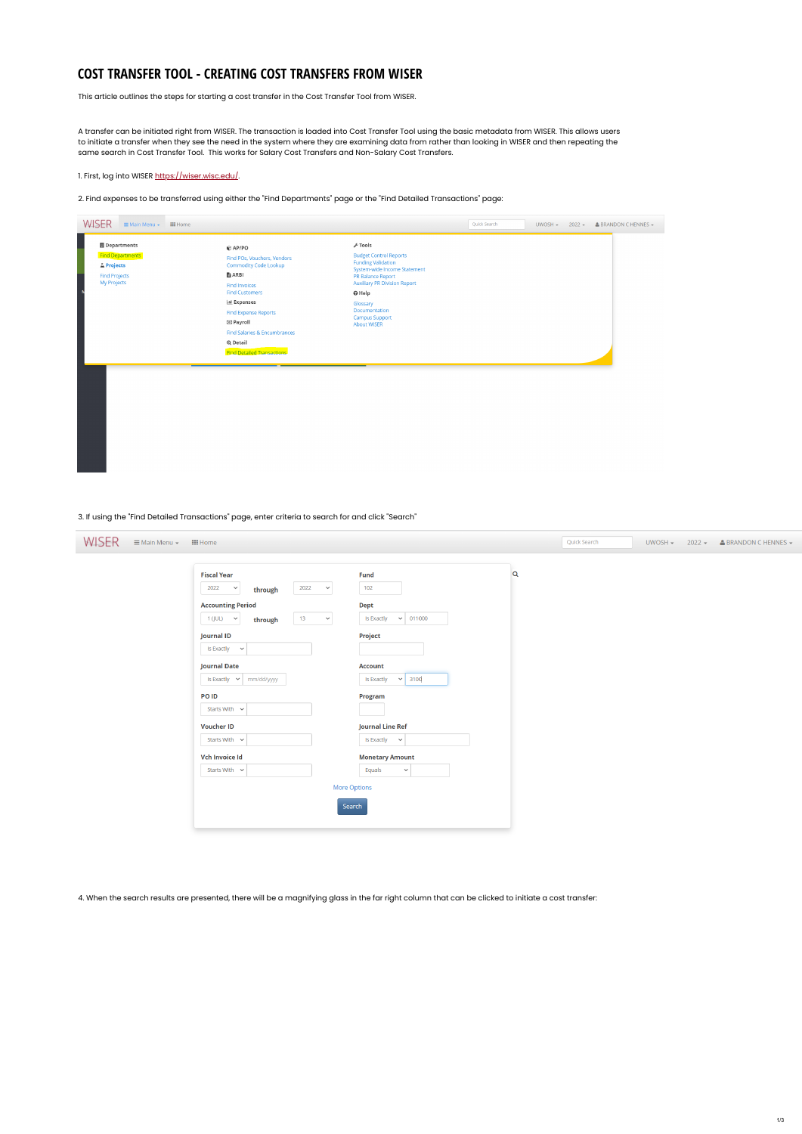### **COST TRANSFER TOOL - CREATING COST TRANSFERS FROM WISER**

This article outlines the steps for starting a cost transfer in the Cost Transfer Tool from WISER.

A transfer can be initiated right from WISER. The transaction is loaded into Cost Transfer Tool using the basic metadata from WISER. This allows users to initiate a transfer when they see the need in the system where they are examining data from rather than looking in WISER and then repeating the same search in Cost Transfer Tool. This works for Salary Cost Transfers and Non-Salary Cost Transfers.

1. First, log into WISER<https://wiser.wisc.edu/>.

2. Find expenses to be transferred using either the "Find Departments" page or the "Find Detailed Transactions" page:



3. If using the "Find Detailed Transactions" page, enter criteria to search for and click "Search"

| <b>WISER</b><br>E Main Menu – III Home |                                                                                     |             | Quick Search | $UWOSH -$ | $2022 - 2$ BRANDON C HENNES - |
|----------------------------------------|-------------------------------------------------------------------------------------|-------------|--------------|-----------|-------------------------------|
|                                        | Fiscal Year                                                                         | Fund        |              |           |                               |
|                                        | 2022<br>2022<br>$\checkmark$<br>$\checkmark$<br>through<br><b>Accounting Period</b> | 102<br>Dont |              |           |                               |

| Accounting renou                   |                    | <b>Pept</b>                          |
|------------------------------------|--------------------|--------------------------------------|
| 1 (JUL)<br>$\checkmark$<br>through | 13<br>$\checkmark$ | Is Exactly<br>011000<br>$\checkmark$ |
| <b>Journal ID</b>                  |                    | Project                              |
| Is Exactly<br>$\checkmark$         |                    |                                      |
| <b>Journal Date</b>                |                    | <b>Account</b>                       |
| Is Exactly $\sim$<br>mm/dd/yyyy    |                    | 3100<br>Is Exactly<br>$\checkmark$   |
| PO ID                              |                    | Program                              |
| Starts With $\vee$                 |                    |                                      |
| <b>Voucher ID</b>                  |                    | <b>Journal Line Ref</b>              |
| Starts With $\sim$                 |                    | Is Exactly<br>$\checkmark$           |
| <b>Vch Invoice Id</b>              |                    | <b>Monetary Amount</b>               |
| Starts With $\vee$                 |                    | Equals<br>$\checkmark$               |
|                                    |                    | <b>More Options</b>                  |
|                                    |                    | Search                               |
|                                    |                    |                                      |

4. When the search results are presented, there will be a magnifying glass in the far right column that can be clicked to initiate a cost transfer: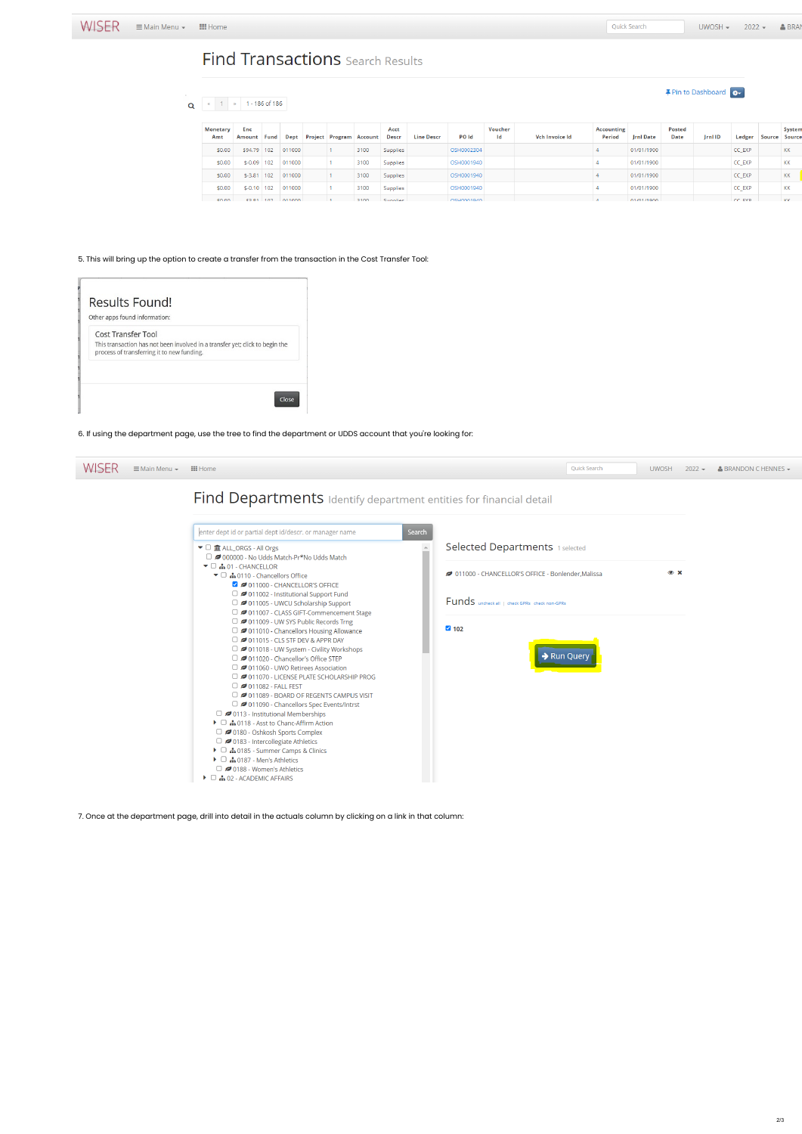**#** Pin to Dashboard

# **Find Transactions** Search Results

## Q 4 1 3 1 - 186 of 186

| Monetary<br>Amt | Enc<br>Amount Fund |                 |        | Dept Project Program Account |      | Acct<br>Descr | Line Descr | <b>PO Id</b> | Voucher<br>Id | Vch Invoice Id | Accounting<br>Period | Jrnl Date  | Posted<br>Date | Jrnl ID | Ledger | Source | System<br>Source |
|-----------------|--------------------|-----------------|--------|------------------------------|------|---------------|------------|--------------|---------------|----------------|----------------------|------------|----------------|---------|--------|--------|------------------|
| \$0.00          | \$94.79 102        |                 | 011000 |                              | 3100 | Supplies      |            | OSH0002304   |               |                |                      | 01/01/1900 |                |         | CC_EXP |        | κк               |
| \$0.00          | $$-0.09$   102     |                 | 011000 |                              | 3100 | Supplies      |            | OSH0001940   |               |                |                      | 01/01/1900 |                |         | CC_EXP |        | ΚК               |
| \$0.00          | $$-3.81$ 102       |                 | 011000 |                              | 3100 | Supplies      |            | OSH0001940   |               |                |                      | 01/01/1900 |                |         | CC_EXP |        | ΚК               |
| \$0.00          |                    | $$-0.10$ 102    | 011000 |                              | 3100 | Supplies      |            | OSH0001940   |               |                |                      | 01/01/1900 |                |         | CC_EXP |        | ΚК               |
| <b>CO OD</b>    |                    | ⊄ 2 2 1 1 1 0 2 | 011000 |                              | 3100 | Sunnlier      |            | 05H0001940   |               |                |                      | 01/01/1900 |                |         | CC EXP |        | KK               |

#### 5. This will bring up the option to create a transfer from the transaction in the Cost Transfer Tool:

| Results Found!<br>Other apps found information: |                                                                              |
|-------------------------------------------------|------------------------------------------------------------------------------|
| <b>Cost Transfer Tool</b>                       |                                                                              |
| process of transferring it to new funding.      | This transaction has not been involved in a transfer yet; click to begin the |
|                                                 |                                                                              |
|                                                 |                                                                              |

#### 6. If using the department page, use the tree to find the department or UDDS account that you're looking for:

| WISER | $\equiv$ Main Menu $\sim$ | $\mathop{\mathbf{iii}}$ Home                                                                                                                                                                                               |        |                                                                               | Quick Search | <b>UWOSH</b> | $2022 -$ | $\triangle$ BRANDON C HENNES $\sim$ |
|-------|---------------------------|----------------------------------------------------------------------------------------------------------------------------------------------------------------------------------------------------------------------------|--------|-------------------------------------------------------------------------------|--------------|--------------|----------|-------------------------------------|
|       |                           | <b>Find Departments</b> Identify department entities for financial detail                                                                                                                                                  |        |                                                                               |              |              |          |                                     |
|       |                           | enter dept id or partial dept id/descr. or manager name                                                                                                                                                                    | Search |                                                                               |              |              |          |                                     |
|       |                           | $\blacktriangleright$ $\Box$ $\widehat{\mathbf{m}}$ ALL_ORGS - All Orgs<br>$\Box$ 2000000 - No Udds Match-Pr*No Udds Match                                                                                                 |        | Selected Departments 1 selected                                               |              |              |          |                                     |
|       |                           | $\blacktriangleright$ $\Box$ $\blacksquare$ 01 - CHANCELLOR<br>$\blacktriangleright$ $\Box$ $\blacksquare$ 0110 - Chancellors Office<br>O 11000 - CHANCELLOR'S OFFICE<br>$\Box$ $\Box$ 011002 - Institutional Support Fund |        | 011000 - CHANCELLOR'S OFFICE - Bonlender, Malissa<br><b>Contract Contract</b> |              | $\bullet x$  |          |                                     |



7. Once at the department page, drill into detail in the actuals column by clicking on a link in that column: